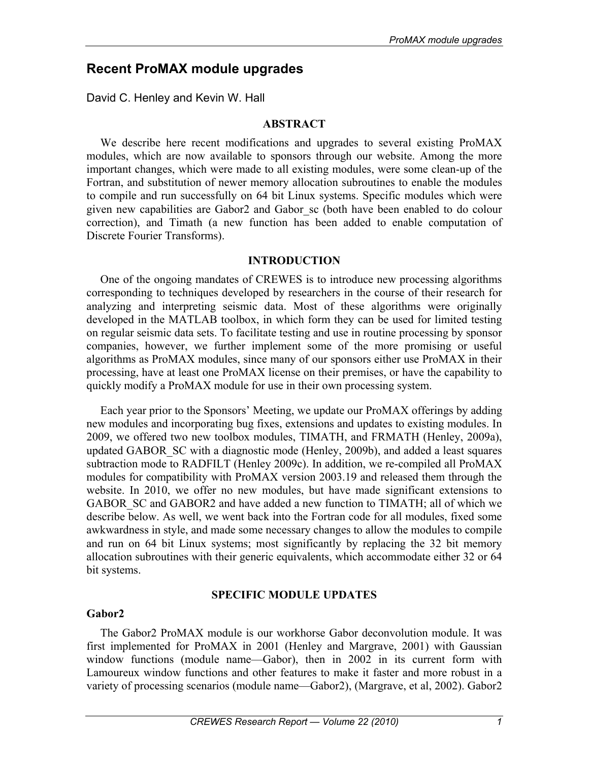# **Recent ProMAX module upgrades**

David C. Henley and Kevin W. Hall

## **ABSTRACT**

We describe here recent modifications and upgrades to several existing ProMAX modules, which are now available to sponsors through our website. Among the more important changes, which were made to all existing modules, were some clean-up of the Fortran, and substitution of newer memory allocation subroutines to enable the modules to compile and run successfully on 64 bit Linux systems. Specific modules which were given new capabilities are Gabor2 and Gabor\_sc (both have been enabled to do colour correction), and Timath (a new function has been added to enable computation of Discrete Fourier Transforms).

### **INTRODUCTION**

One of the ongoing mandates of CREWES is to introduce new processing algorithms corresponding to techniques developed by researchers in the course of their research for analyzing and interpreting seismic data. Most of these algorithms were originally developed in the MATLAB toolbox, in which form they can be used for limited testing on regular seismic data sets. To facilitate testing and use in routine processing by sponsor companies, however, we further implement some of the more promising or useful algorithms as ProMAX modules, since many of our sponsors either use ProMAX in their processing, have at least one ProMAX license on their premises, or have the capability to quickly modify a ProMAX module for use in their own processing system.

Each year prior to the Sponsors' Meeting, we update our ProMAX offerings by adding new modules and incorporating bug fixes, extensions and updates to existing modules. In 2009, we offered two new toolbox modules, TIMATH, and FRMATH (Henley, 2009a), updated GABOR\_SC with a diagnostic mode (Henley, 2009b), and added a least squares subtraction mode to RADFILT (Henley 2009c). In addition, we re-compiled all ProMAX modules for compatibility with ProMAX version 2003.19 and released them through the website. In 2010, we offer no new modules, but have made significant extensions to GABOR SC and GABOR2 and have added a new function to TIMATH; all of which we describe below. As well, we went back into the Fortran code for all modules, fixed some awkwardness in style, and made some necessary changes to allow the modules to compile and run on 64 bit Linux systems; most significantly by replacing the 32 bit memory allocation subroutines with their generic equivalents, which accommodate either 32 or 64 bit systems.

# **SPECIFIC MODULE UPDATES**

### **Gabor2**

The Gabor2 ProMAX module is our workhorse Gabor deconvolution module. It was first implemented for ProMAX in 2001 (Henley and Margrave, 2001) with Gaussian window functions (module name—Gabor), then in 2002 in its current form with Lamoureux window functions and other features to make it faster and more robust in a variety of processing scenarios (module name—Gabor2), (Margrave, et al, 2002). Gabor2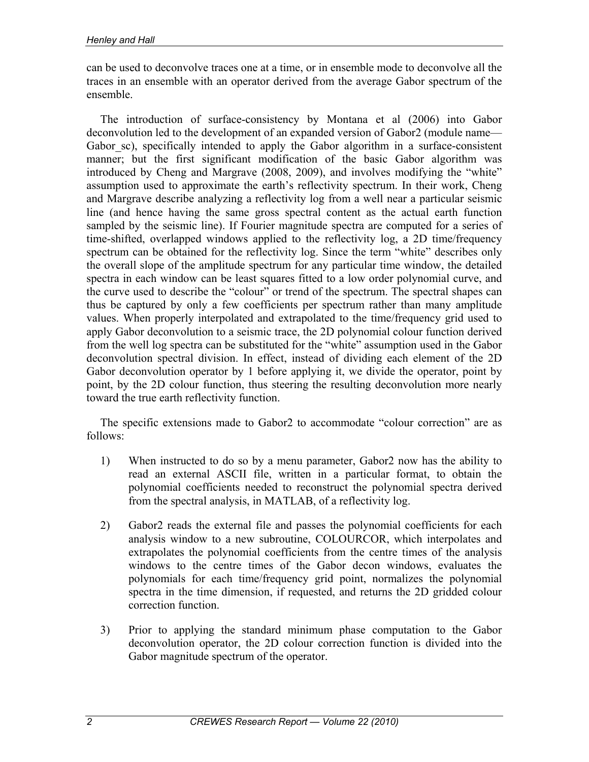can be used to deconvolve traces one at a time, or in ensemble mode to deconvolve all the traces in an ensemble with an operator derived from the average Gabor spectrum of the ensemble.

The introduction of surface-consistency by Montana et al (2006) into Gabor deconvolution led to the development of an expanded version of Gabor2 (module name— Gabor sc), specifically intended to apply the Gabor algorithm in a surface-consistent manner; but the first significant modification of the basic Gabor algorithm was introduced by Cheng and Margrave (2008, 2009), and involves modifying the "white" assumption used to approximate the earth's reflectivity spectrum. In their work, Cheng and Margrave describe analyzing a reflectivity log from a well near a particular seismic line (and hence having the same gross spectral content as the actual earth function sampled by the seismic line). If Fourier magnitude spectra are computed for a series of time-shifted, overlapped windows applied to the reflectivity log, a 2D time/frequency spectrum can be obtained for the reflectivity log. Since the term "white" describes only the overall slope of the amplitude spectrum for any particular time window, the detailed spectra in each window can be least squares fitted to a low order polynomial curve, and the curve used to describe the "colour" or trend of the spectrum. The spectral shapes can thus be captured by only a few coefficients per spectrum rather than many amplitude values. When properly interpolated and extrapolated to the time/frequency grid used to apply Gabor deconvolution to a seismic trace, the 2D polynomial colour function derived from the well log spectra can be substituted for the "white" assumption used in the Gabor deconvolution spectral division. In effect, instead of dividing each element of the 2D Gabor deconvolution operator by 1 before applying it, we divide the operator, point by point, by the 2D colour function, thus steering the resulting deconvolution more nearly toward the true earth reflectivity function.

The specific extensions made to Gabor2 to accommodate "colour correction" are as follows:

- 1) When instructed to do so by a menu parameter, Gabor2 now has the ability to read an external ASCII file, written in a particular format, to obtain the polynomial coefficients needed to reconstruct the polynomial spectra derived from the spectral analysis, in MATLAB, of a reflectivity log.
- 2) Gabor2 reads the external file and passes the polynomial coefficients for each analysis window to a new subroutine, COLOURCOR, which interpolates and extrapolates the polynomial coefficients from the centre times of the analysis windows to the centre times of the Gabor decon windows, evaluates the polynomials for each time/frequency grid point, normalizes the polynomial spectra in the time dimension, if requested, and returns the 2D gridded colour correction function.
- 3) Prior to applying the standard minimum phase computation to the Gabor deconvolution operator, the 2D colour correction function is divided into the Gabor magnitude spectrum of the operator.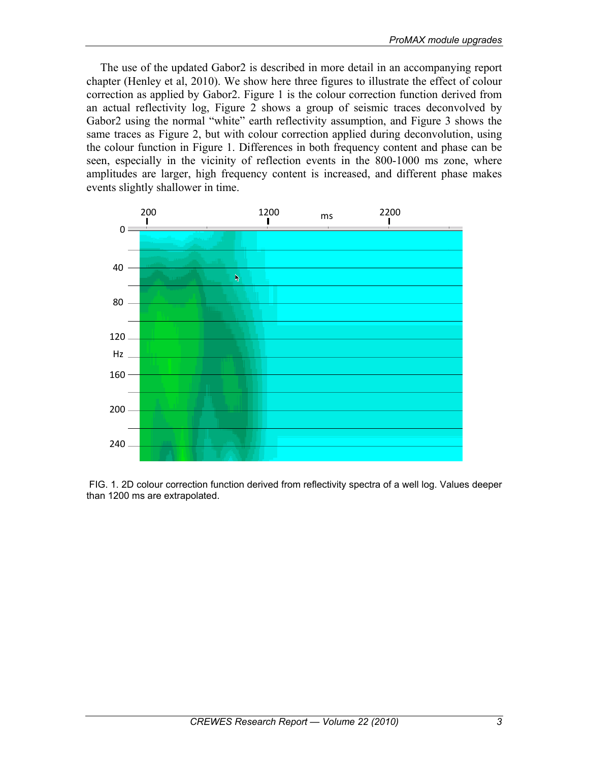The use of the updated Gabor2 is described in more detail in an accompanying report chapter (Henley et al, 2010). We show here three figures to illustrate the effect of colour correction as applied by Gabor2. Figure 1 is the colour correction function derived from an actual reflectivity log, Figure 2 shows a group of seismic traces deconvolved by Gabor2 using the normal "white" earth reflectivity assumption, and Figure 3 shows the same traces as Figure 2, but with colour correction applied during deconvolution, using the colour function in Figure 1. Differences in both frequency content and phase can be seen, especially in the vicinity of reflection events in the 800-1000 ms zone, where amplitudes are larger, high frequency content is increased, and different phase makes events slightly shallower in time.



 FIG. 1. 2D colour correction function derived from reflectivity spectra of a well log. Values deeper than 1200 ms are extrapolated.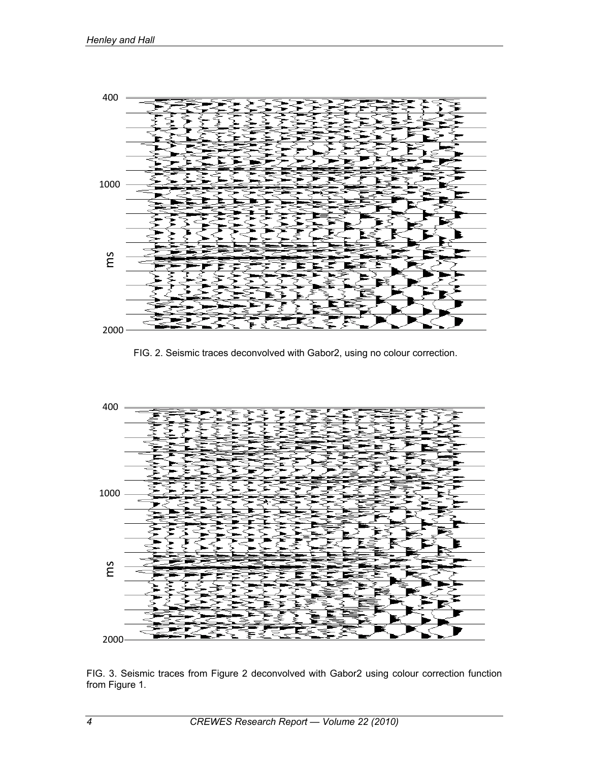

FIG. 2. Seismic traces deconvolved with Gabor2, using no colour correction.



FIG. 3. Seismic traces from Figure 2 deconvolved with Gabor2 using colour correction function from Figure 1.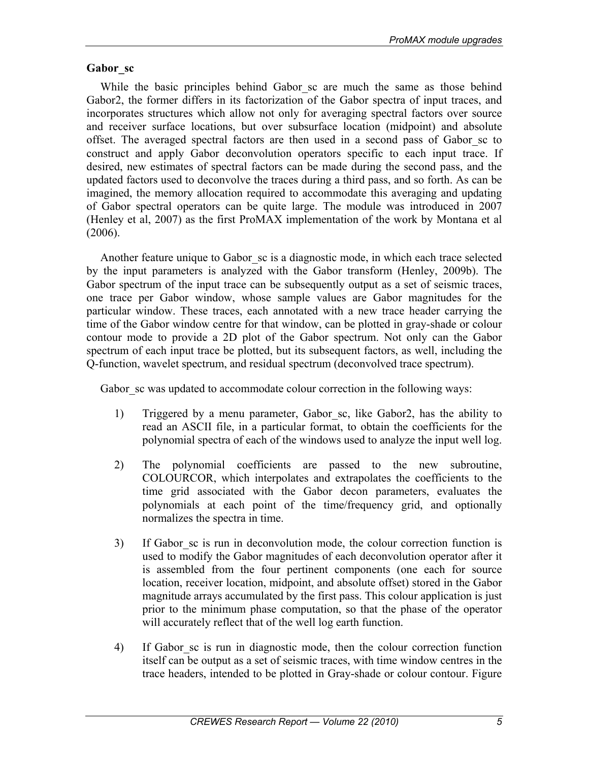### **Gabor\_sc**

While the basic principles behind Gabor sc are much the same as those behind Gabor2, the former differs in its factorization of the Gabor spectra of input traces, and incorporates structures which allow not only for averaging spectral factors over source and receiver surface locations, but over subsurface location (midpoint) and absolute offset. The averaged spectral factors are then used in a second pass of Gabor\_sc to construct and apply Gabor deconvolution operators specific to each input trace. If desired, new estimates of spectral factors can be made during the second pass, and the updated factors used to deconvolve the traces during a third pass, and so forth. As can be imagined, the memory allocation required to accommodate this averaging and updating of Gabor spectral operators can be quite large. The module was introduced in 2007 (Henley et al, 2007) as the first ProMAX implementation of the work by Montana et al (2006).

Another feature unique to Gabor\_sc is a diagnostic mode, in which each trace selected by the input parameters is analyzed with the Gabor transform (Henley, 2009b). The Gabor spectrum of the input trace can be subsequently output as a set of seismic traces, one trace per Gabor window, whose sample values are Gabor magnitudes for the particular window. These traces, each annotated with a new trace header carrying the time of the Gabor window centre for that window, can be plotted in gray-shade or colour contour mode to provide a 2D plot of the Gabor spectrum. Not only can the Gabor spectrum of each input trace be plotted, but its subsequent factors, as well, including the Q-function, wavelet spectrum, and residual spectrum (deconvolved trace spectrum).

Gabor sc was updated to accommodate colour correction in the following ways:

- 1) Triggered by a menu parameter, Gabor sc, like Gabor2, has the ability to read an ASCII file, in a particular format, to obtain the coefficients for the polynomial spectra of each of the windows used to analyze the input well log.
- 2) The polynomial coefficients are passed to the new subroutine, COLOURCOR, which interpolates and extrapolates the coefficients to the time grid associated with the Gabor decon parameters, evaluates the polynomials at each point of the time/frequency grid, and optionally normalizes the spectra in time.
- 3) If Gabor sc is run in deconvolution mode, the colour correction function is used to modify the Gabor magnitudes of each deconvolution operator after it is assembled from the four pertinent components (one each for source location, receiver location, midpoint, and absolute offset) stored in the Gabor magnitude arrays accumulated by the first pass. This colour application is just prior to the minimum phase computation, so that the phase of the operator will accurately reflect that of the well log earth function.
- 4) If Gabor\_sc is run in diagnostic mode, then the colour correction function itself can be output as a set of seismic traces, with time window centres in the trace headers, intended to be plotted in Gray-shade or colour contour. Figure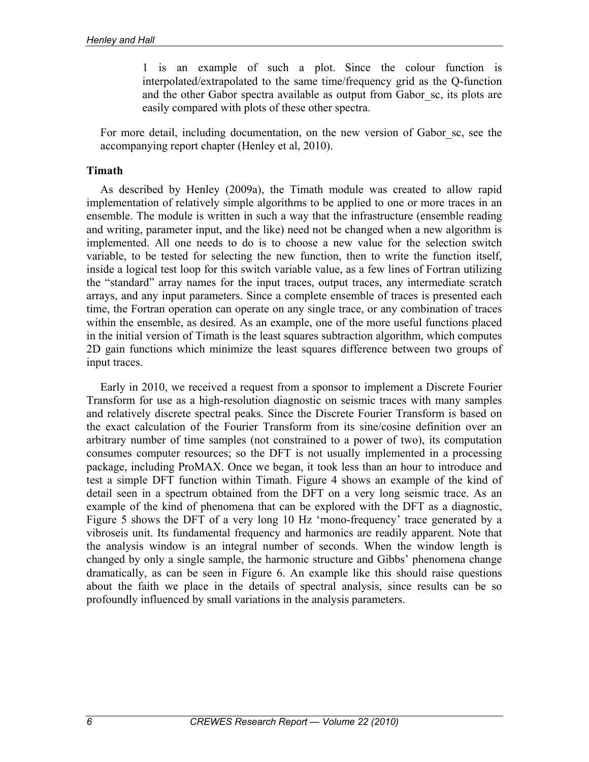1 is an example of such a plot. Since the colour function is interpolated/extrapolated to the same time/frequency grid as the Q-function and the other Gabor spectra available as output from Gabor\_sc, its plots are easily compared with plots of these other spectra.

For more detail, including documentation, on the new version of Gabor\_sc, see the accompanying report chapter (Henley et al, 2010).

#### **Timath**

As described by Henley (2009a), the Timath module was created to allow rapid implementation of relatively simple algorithms to be applied to one or more traces in an ensemble. The module is written in such a way that the infrastructure (ensemble reading and writing, parameter input, and the like) need not be changed when a new algorithm is implemented. All one needs to do is to choose a new value for the selection switch variable, to be tested for selecting the new function, then to write the function itself, inside a logical test loop for this switch variable value, as a few lines of Fortran utilizing the "standard" array names for the input traces, output traces, any intermediate scratch arrays, and any input parameters. Since a complete ensemble of traces is presented each time, the Fortran operation can operate on any single trace, or any combination of traces within the ensemble, as desired. As an example, one of the more useful functions placed in the initial version of Timath is the least squares subtraction algorithm, which computes 2D gain functions which minimize the least squares difference between two groups of input traces.

Early in 2010, we received a request from a sponsor to implement a Discrete Fourier Transform for use as a high-resolution diagnostic on seismic traces with many samples and relatively discrete spectral peaks. Since the Discrete Fourier Transform is based on the exact calculation of the Fourier Transform from its sine/cosine definition over an arbitrary number of time samples (not constrained to a power of two), its computation consumes computer resources; so the DFT is not usually implemented in a processing package, including ProMAX. Once we began, it took less than an hour to introduce and test a simple DFT function within Timath. Figure 4 shows an example of the kind of detail seen in a spectrum obtained from the DFT on a very long seismic trace. As an example of the kind of phenomena that can be explored with the DFT as a diagnostic, Figure 5 shows the DFT of a very long 10 Hz 'mono-frequency' trace generated by a vibroseis unit. Its fundamental frequency and harmonics are readily apparent. Note that the analysis window is an integral number of seconds. When the window length is changed by only a single sample, the harmonic structure and Gibbs' phenomena change dramatically, as can be seen in Figure 6. An example like this should raise questions about the faith we place in the details of spectral analysis, since results can be so profoundly influenced by small variations in the analysis parameters.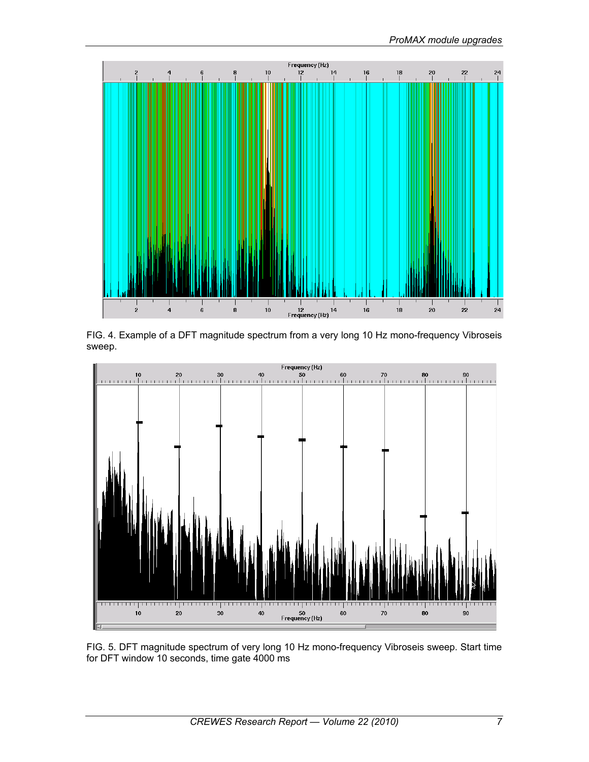

FIG. 4. Example of a DFT magnitude spectrum from a very long 10 Hz mono-frequency Vibroseis sweep.



FIG. 5. DFT magnitude spectrum of very long 10 Hz mono-frequency Vibroseis sweep. Start time for DFT window 10 seconds, time gate 4000 ms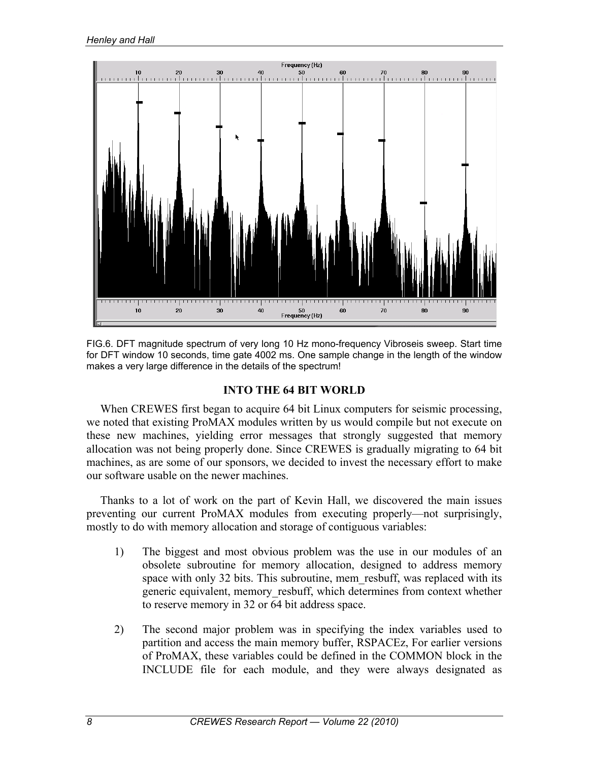

FIG.6. DFT magnitude spectrum of very long 10 Hz mono-frequency Vibroseis sweep. Start time for DFT window 10 seconds, time gate 4002 ms. One sample change in the length of the window makes a very large difference in the details of the spectrum!

### **INTO THE 64 BIT WORLD**

When CREWES first began to acquire 64 bit Linux computers for seismic processing, we noted that existing ProMAX modules written by us would compile but not execute on these new machines, yielding error messages that strongly suggested that memory allocation was not being properly done. Since CREWES is gradually migrating to 64 bit machines, as are some of our sponsors, we decided to invest the necessary effort to make our software usable on the newer machines.

Thanks to a lot of work on the part of Kevin Hall, we discovered the main issues preventing our current ProMAX modules from executing properly—not surprisingly, mostly to do with memory allocation and storage of contiguous variables:

- 1) The biggest and most obvious problem was the use in our modules of an obsolete subroutine for memory allocation, designed to address memory space with only 32 bits. This subroutine, mem resbuff, was replaced with its generic equivalent, memory\_resbuff, which determines from context whether to reserve memory in 32 or 64 bit address space.
- 2) The second major problem was in specifying the index variables used to partition and access the main memory buffer, RSPACEz, For earlier versions of ProMAX, these variables could be defined in the COMMON block in the INCLUDE file for each module, and they were always designated as